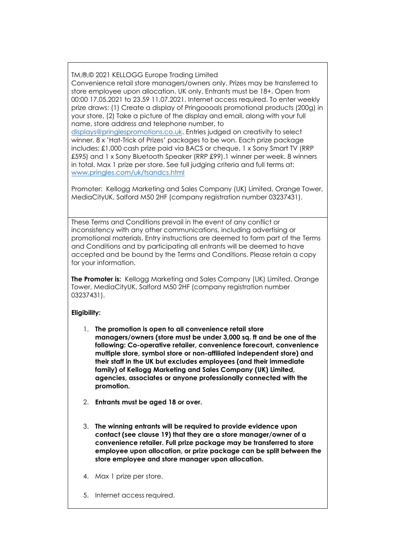TM,®,© 2021 KELLOGG Europe Trading Limited

Convenience retail store managers/owners only. Prizes may be transferred to store employee upon allocation. UK only. Entrants must be 18+. Open from 00:00 17.05.2021 to 23.59 11.07.2021. Internet access required. To enter weekly prize draws: (1) Create a display of Pringoooals promotional products (200g) in your store, (2) Take a picture of the display and email, along with your full name, store address and telephone number, to

[displays@pringlespromotions.co.uk.](mailto:displays@pringlespromotions.co.uk) Entries judged on creativity to select winner. 8 x 'Hat-Trick of Prizes' packages to be won. Each prize package includes; £1,000 cash prize paid via BACS or cheque, 1 x Sony Smart TV (RRP £595) and 1 x Sony Bluetooth Speaker (RRP £99).1 winner per week. 8 winners in total. Max 1 prize per store. See full judging criteria and full terms at: [www.pringles.com/uk/tsandcs.html](http://www.pringles.com/uk/tsandcs.html)

Promoter: Kellogg Marketing and Sales Company (UK) Limited, Orange Tower, MediaCityUK, Salford M50 2HF (company registration number 03237431).

These Terms and Conditions prevail in the event of any conflict or inconsistency with any other communications, including advertising or promotional materials. Entry instructions are deemed to form part of the Terms and Conditions and by participating all entrants will be deemed to have accepted and be bound by the Terms and Conditions. Please retain a copy for your information.

**The Promoter is:** Kellogg Marketing and Sales Company (UK) Limited, Orange Tower, MediaCityUK, Salford M50 2HF (company registration number 03237431).

# **Eligibility:**

- 1. **The promotion is open to all convenience retail store managers/owners (store must be under 3,000 sq. ft and be one of the following: Co-operative retailer, convenience forecourt, convenience multiple store, symbol store or non-affiliated independent store) and their staff in the UK but excludes employees (and their immediate family) of Kellogg Marketing and Sales Company (UK) Limited, agencies, associates or anyone professionally connected with the promotion.**
- 2. **Entrants must be aged 18 or over.**
- 3. **The winning entrants will be required to provide evidence upon contact (see clause 19) that they are a store manager/owner of a convenience retailer. Full prize package may be transferred to store employee upon allocation, or prize package can be split between the store employee and store manager upon allocation.**
- 4. Max 1 prize per store.
- 5. Internet access required.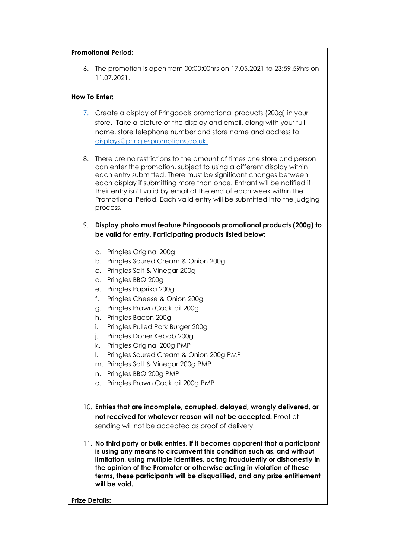#### **Promotional Period:**

6. The promotion is open from 00:00:00hrs on 17.05.2021 to 23:59.59hrs on 11.07.2021.

#### **How To Enter:**

- 7. Create a display of Pringooals promotional products (200g) in your store. Take a picture of the display and email, along with your full name, store telephone number and store name and address to [displays@pringlespromotions.co.uk.](mailto:displays@pringlespromotions.co.uk)
- 8. There are no restrictions to the amount of times one store and person can enter the promotion, subject to using a different display within each entry submitted. There must be significant changes between each display if submitting more than once. Entrant will be notified if their entry isn't valid by email at the end of each week within the Promotional Period. Each valid entry will be submitted into the judging process.
- 9. **Display photo must feature Pringoooals promotional products (200g) to be valid for entry. Participating products listed below:**
	- a. Pringles Original 200g
	- b. Pringles Soured Cream & Onion 200g
	- c. Pringles Salt & Vinegar 200g
	- d. Pringles BBQ 200g
	- e. Pringles Paprika 200g
	- f. Pringles Cheese & Onion 200g
	- g. Pringles Prawn Cocktail 200g
	- h. Pringles Bacon 200g
	- i. Pringles Pulled Pork Burger 200g
	- j. Pringles Doner Kebab 200g
	- k. Pringles Original 200g PMP
	- l. Pringles Soured Cream & Onion 200g PMP
	- m. Pringles Salt & Vinegar 200g PMP
	- n. Pringles BBQ 200g PMP
	- o. Pringles Prawn Cocktail 200g PMP
- 10. **Entries that are incomplete, corrupted, delayed, wrongly delivered, or not received for whatever reason will not be accepted.** Proof of sending will not be accepted as proof of delivery.
- 11. **No third party or bulk entries. If it becomes apparent that a participant is using any means to circumvent this condition such as, and without limitation, using multiple identities, acting fraudulently or dishonestly in the opinion of the Promoter or otherwise acting in violation of these terms, these participants will be disqualified, and any prize entitlement will be void.**

**Prize Details:**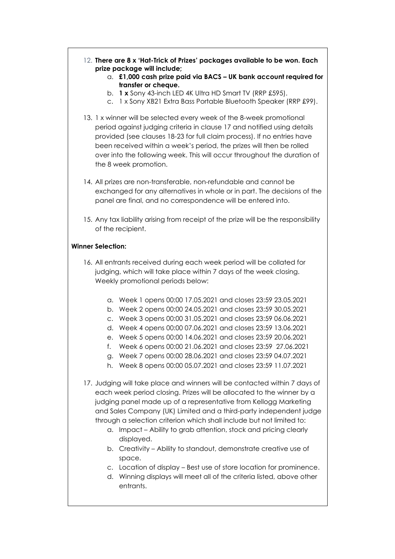- 12. **There are 8 x 'Hat-Trick of Prizes' packages available to be won. Each prize package will include;**
	- a. **£1,000 cash prize paid via BACS – UK bank account required for transfer or cheque.**
	- b. **1 x** Sony 43-inch LED 4K Ultra HD Smart TV (RRP £595).
	- c. 1 x Sony XB21 Extra Bass Portable Bluetooth Speaker (RRP £99).
- 13. 1 x winner will be selected every week of the 8-week promotional period against judging criteria in clause 17 and notified using details provided (see clauses 18-23 for full claim process). If no entries have been received within a week's period, the prizes will then be rolled over into the following week. This will occur throughout the duration of the 8 week promotion.
- 14. All prizes are non-transferable, non-refundable and cannot be exchanged for any alternatives in whole or in part. The decisions of the panel are final, and no correspondence will be entered into.
- 15. Any tax liability arising from receipt of the prize will be the responsibility of the recipient.

## **Winner Selection:**

- 16. All entrants received during each week period will be collated for judging, which will take place within 7 days of the week closing. Weekly promotional periods below:
	- a. Week 1 opens 00:00 17.05.2021 and closes 23:59 23.05.2021
	- b. Week 2 opens 00:00 24.05.2021 and closes 23:59 30.05.2021
	- c. Week 3 opens 00:00 31.05.2021 and closes 23:59 06.06.2021
	- d. Week 4 opens 00:00 07.06.2021 and closes 23:59 13.06.2021
	- e. Week 5 opens 00:00 14.06.2021 and closes 23:59 20.06.2021
	- f. Week 6 opens 00:00 21.06.2021 and closes 23:59 27.06.2021
	- g. Week 7 opens 00:00 28.06.2021 and closes 23:59 04.07.2021
	- h. Week 8 opens 00:00 05.07.2021 and closes 23:59 11.07.2021
- 17. Judging will take place and winners will be contacted within 7 days of each week period closing. Prizes will be allocated to the winner by a judging panel made up of a representative from Kellogg Marketing and Sales Company (UK) Limited and a third-party independent judge through a selection criterion which shall include but not limited to:
	- a. Impact Ability to grab attention, stock and pricing clearly displayed.
	- b. Creativity Ability to standout, demonstrate creative use of space.
	- c. Location of display Best use of store location for prominence.
	- d. Winning displays will meet all of the criteria listed, above other entrants.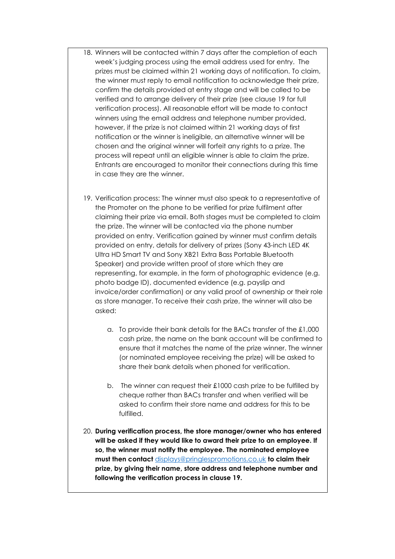- 18. Winners will be contacted within 7 days after the completion of each week's judging process using the email address used for entry. The prizes must be claimed within 21 working days of notification. To claim, the winner must reply to email notification to acknowledge their prize, confirm the details provided at entry stage and will be called to be verified and to arrange delivery of their prize (see clause 19 for full verification process). All reasonable effort will be made to contact winners using the email address and telephone number provided, however, if the prize is not claimed within 21 working days of first notification or the winner is ineligible, an alternative winner will be chosen and the original winner will forfeit any rights to a prize. The process will repeat until an eligible winner is able to claim the prize. Entrants are encouraged to monitor their connections during this time in case they are the winner.
- 19. Verification process: The winner must also speak to a representative of the Promoter on the phone to be verified for prize fulfilment after claiming their prize via email. Both stages must be completed to claim the prize. The winner will be contacted via the phone number provided on entry. Verification gained by winner must confirm details provided on entry, details for delivery of prizes (Sony 43-inch LED 4K Ultra HD Smart TV and Sony XB21 Extra Bass Portable Bluetooth Speaker) and provide written proof of store which they are representing, for example, in the form of photographic evidence (e.g. photo badge ID), documented evidence (e.g. payslip and invoice/order confirmation) or any valid proof of ownership or their role as store manager. To receive their cash prize, the winner will also be asked:
	- a. To provide their bank details for the BACs transfer of the £1,000 cash prize, the name on the bank account will be confirmed to ensure that it matches the name of the prize winner. The winner (or nominated employee receiving the prize) will be asked to share their bank details when phoned for verification.
	- b. The winner can request their £1000 cash prize to be fulfilled by cheque rather than BACs transfer and when verified will be asked to confirm their store name and address for this to be fulfilled.
- 20. **During verification process, the store manager/owner who has entered will be asked if they would like to award their prize to an employee. If so, the winner must notify the employee. The nominated employee must then contact** [displays@pringlespromotions.co.uk](mailto:displays@pringlespromotions.co.uk) **to claim their prize, by giving their name, store address and telephone number and following the verification process in clause 19.**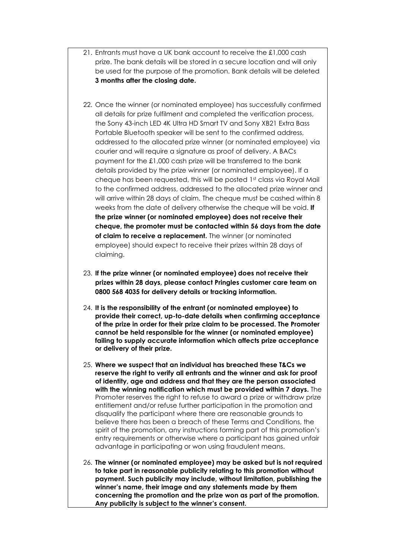- 21. Entrants must have a UK bank account to receive the £1,000 cash prize. The bank details will be stored in a secure location and will only be used for the purpose of the promotion. Bank details will be deleted **3 months after the closing date.**
- 22. Once the winner (or nominated employee) has successfully confirmed all details for prize fulfilment and completed the verification process, the Sony 43-inch LED 4K Ultra HD Smart TV and Sony XB21 Extra Bass Portable Bluetooth speaker will be sent to the confirmed address, addressed to the allocated prize winner (or nominated employee) via courier and will require a signature as proof of delivery. A BACs payment for the £1,000 cash prize will be transferred to the bank details provided by the prize winner (or nominated employee). If a cheque has been requested, this will be posted 1st class via Royal Mail to the confirmed address, addressed to the allocated prize winner and will arrive within 28 days of claim. The cheque must be cashed within 8 weeks from the date of delivery otherwise the cheque will be void. **If the prize winner (or nominated employee) does not receive their cheque, the promoter must be contacted within 56 days from the date of claim to receive a replacement.** The winner (or nominated employee) should expect to receive their prizes within 28 days of claiming.
- 23. **If the prize winner (or nominated employee) does not receive their prizes within 28 days, please contact Pringles customer care team on 0800 568 4035 for delivery details or tracking information.**
- 24. **It is the responsibility of the entrant (or nominated employee) to provide their correct, up-to-date details when confirming acceptance of the prize in order for their prize claim to be processed. The Promoter cannot be held responsible for the winner (or nominated employee) failing to supply accurate information which affects prize acceptance or delivery of their prize.**
- 25. **Where we suspect that an individual has breached these T&Cs we reserve the right to verify all entrants and the winner and ask for proof of identity, age and address and that they are the person associated with the winning notification which must be provided within 7 days.** The Promoter reserves the right to refuse to award a prize or withdraw prize entitlement and/or refuse further participation in the promotion and disqualify the participant where there are reasonable grounds to believe there has been a breach of these Terms and Conditions, the spirit of the promotion, any instructions forming part of this promotion's entry requirements or otherwise where a participant has gained unfair advantage in participating or won using fraudulent means.
- 26. **The winner (or nominated employee) may be asked but is not required to take part in reasonable publicity relating to this promotion without payment. Such publicity may include, without limitation, publishing the winner's name, their image and any statements made by them concerning the promotion and the prize won as part of the promotion. Any publicity is subject to the winner's consent.**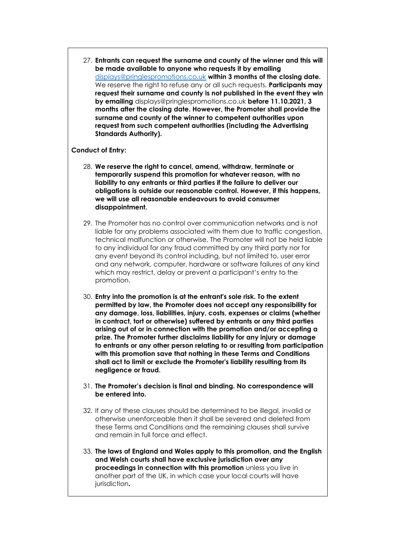27. **Entrants can request the surname and county of the winner and this will be made available to anyone who requests it by emailing** [displays@pringlespromotions.co.uk](mailto:displays@pringlespromotions.co.uk) **within 3 months of the closing date.** We reserve the right to refuse any or all such requests. **Participants may request their surname and county is not published in the event they win by emailing** displays@pringlespromotions.co.uk **before 11.10.2021, 3 months after the closing date. However, the Promoter shall provide the surname and county of the winner to competent authorities upon request from such competent authorities (including the Advertising Standards Authority).**

## **Conduct of Entry:**

- 28. **We reserve the right to cancel, amend, withdraw, terminate or temporarily suspend this promotion for whatever reason, with no liability to any entrants or third parties if the failure to deliver our obligations is outside our reasonable control. However, if this happens, we will use all reasonable endeavours to avoid consumer disappointment.**
- 29. The Promoter has no control over communication networks and is not liable for any problems associated with them due to traffic congestion, technical malfunction or otherwise. The Promoter will not be held liable to any individual for any fraud committed by any third party nor for any event beyond its control including, but not limited to, user error and any network, computer, hardware or software failures of any kind which may restrict, delay or prevent a participant's entry to the promotion.
- 30. **Entry into the promotion is at the entrant's sole risk. To the extent permitted by law, the Promoter does not accept any responsibility for any damage, loss, liabilities, injury, costs, expenses or claims (whether in contract, tort or otherwise) suffered by entrants or any third parties arising out of or in connection with the promotion and/or accepting a prize. The Promoter further disclaims liability for any injury or damage to entrants or any other person relating to or resulting from participation with this promotion save that nothing in these Terms and Conditions shall act to limit or exclude the Promoter's liability resulting from its negligence or fraud.**
- 31. **The Promoter's decision is final and binding. No correspondence will be entered into.**
- 32. If any of these clauses should be determined to be illegal, invalid or otherwise unenforceable then it shall be severed and deleted from these Terms and Conditions and the remaining clauses shall survive and remain in full force and effect.
- 33. **The laws of England and Wales apply to this promotion, and the English and Welsh courts shall have exclusive jurisdiction over any proceedings in connection with this promotion** unless you live in another part of the UK, in which case your local courts will have jurisdiction**.**